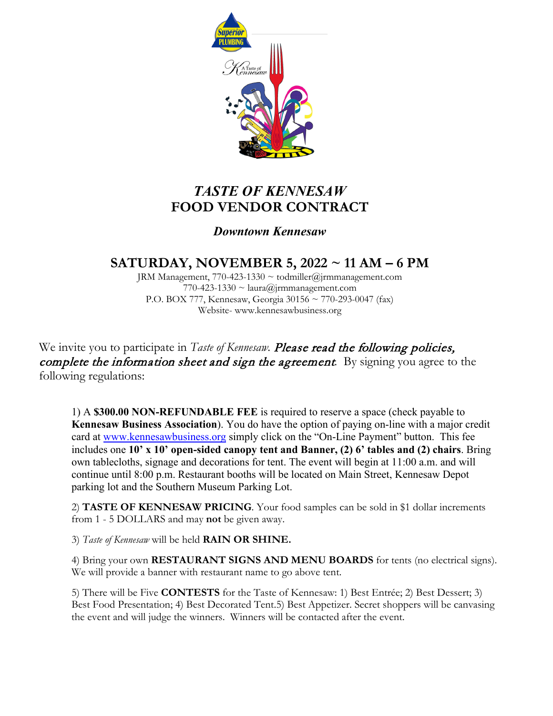

# *TASTE OF KENNESAW* **FOOD VENDOR CONTRACT**

### *Downtown Kennesaw*

## **SATURDAY, NOVEMBER 5, 2022 ~ 11 AM – 6 PM**

JRM Management, 770-423-1330 ~ todmiller@jrmmanagement.com 770-423-1330  $\sim$  laura@jrmmanagement.com P.O. BOX 777, Kennesaw, Georgia 30156 ~ 770-293-0047 (fax) Website- www.kennesawbusiness.org

We invite you to participate in *Taste of Kennesaw*. **Please read the following policies**, complete the information sheet and sign the agreement*.* By signing you agree to the following regulations:

1) A **\$300.00 NON-REFUNDABLE FEE** is required to reserve a space (check payable to **Kennesaw Business Association**). You do have the option of paying on-line with a major credit card at [www.kennesawbusiness.org](http://www.kennesawbusiness.org/) simply click on the "On-Line Payment" button. This fee includes one **10' x 10' open-sided canopy tent and Banner, (2) 6' tables and (2) chairs**. Bring own tablecloths, signage and decorations for tent. The event will begin at 11:00 a.m. and will continue until 8:00 p.m. Restaurant booths will be located on Main Street, Kennesaw Depot parking lot and the Southern Museum Parking Lot.

2) **TASTE OF KENNESAW PRICING**. Your food samples can be sold in \$1 dollar increments from 1 - 5 DOLLARS and may **not** be given away.

3) *Taste of Kennesaw* will be held **RAIN OR SHINE.**

4) Bring your own **RESTAURANT SIGNS AND MENU BOARDS** for tents (no electrical signs). We will provide a banner with restaurant name to go above tent.

5) There will be Five **CONTESTS** for the Taste of Kennesaw: 1) Best Entrée; 2) Best Dessert; 3) Best Food Presentation; 4) Best Decorated Tent.5) Best Appetizer. Secret shoppers will be canvasing the event and will judge the winners. Winners will be contacted after the event.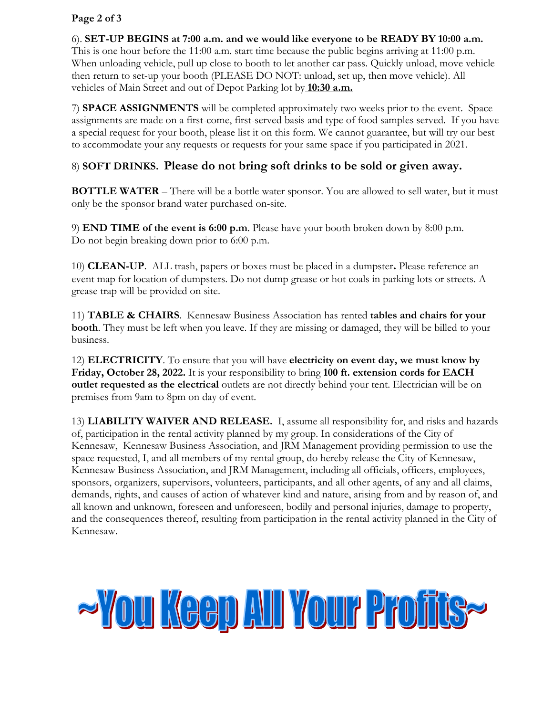#### **Page 2 of 3**

6). **SET-UP BEGINS at 7:00 a.m. and we would like everyone to be READY BY 10:00 a.m.**

This is one hour before the 11:00 a.m. start time because the public begins arriving at 11:00 p.m. When unloading vehicle, pull up close to booth to let another car pass. Quickly unload, move vehicle then return to set-up your booth (PLEASE DO NOT: unload, set up, then move vehicle). All vehicles of Main Street and out of Depot Parking lot by **10:30 a.m.**

7) **SPACE ASSIGNMENTS** will be completed approximately two weeks prior to the event. Space assignments are made on a first-come, first-served basis and type of food samples served. If you have a special request for your booth, please list it on this form. We cannot guarantee, but will try our best to accommodate your any requests or requests for your same space if you participated in 2021.

### 8) **SOFT DRINKS. Please do not bring soft drinks to be sold or given away.**

**BOTTLE WATER** – There will be a bottle water sponsor. You are allowed to sell water, but it must only be the sponsor brand water purchased on-site.

9) **END TIME of the event is 6:00 p.m**. Please have your booth broken down by 8:00 p.m. Do not begin breaking down prior to 6:00 p.m.

10) **CLEAN-UP**. ALL trash, papers or boxes must be placed in a dumpster**.** Please reference an event map for location of dumpsters. Do not dump grease or hot coals in parking lots or streets. A grease trap will be provided on site.

11) **TABLE & CHAIRS**. Kennesaw Business Association has rented **tables and chairs for your booth**. They must be left when you leave. If they are missing or damaged, they will be billed to your business.

12) **ELECTRICITY**. To ensure that you will have **electricity on event day, we must know by Friday, October 28, 2022.** It is your responsibility to bring **100 ft. extension cords for EACH outlet requested as the electrical** outlets are not directly behind your tent. Electrician will be on premises from 9am to 8pm on day of event.

13) **LIABILITY WAIVER AND RELEASE.** I, assume all responsibility for, and risks and hazards of, participation in the rental activity planned by my group. In considerations of the City of Kennesaw, Kennesaw Business Association, and JRM Management providing permission to use the space requested, I, and all members of my rental group, do hereby release the City of Kennesaw, Kennesaw Business Association, and JRM Management, including all officials, officers, employees, sponsors, organizers, supervisors, volunteers, participants, and all other agents, of any and all claims, demands, rights, and causes of action of whatever kind and nature, arising from and by reason of, and all known and unknown, foreseen and unforeseen, bodily and personal injuries, damage to property, and the consequences thereof, resulting from participation in the rental activity planned in the City of Kennesaw.